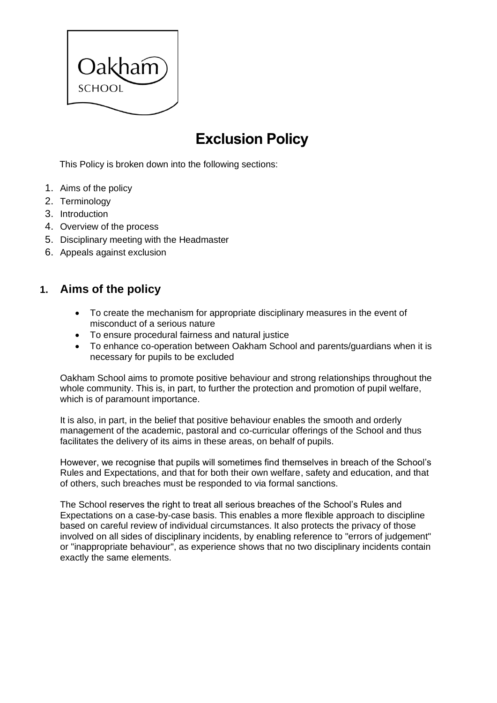

# **Exclusion Policy**

This Policy is broken down into the following sections:

- 1. Aims of the policy
- 2. Terminology
- 3. Introduction
- 4. Overview of the process
- 5. Disciplinary meeting with the Headmaster
- 6. Appeals against exclusion

# **1. Aims of the policy**

- To create the mechanism for appropriate disciplinary measures in the event of misconduct of a serious nature
- To ensure procedural fairness and natural justice
- To enhance co-operation between Oakham School and parents/guardians when it is necessary for pupils to be excluded

Oakham School aims to promote positive behaviour and strong relationships throughout the whole community. This is, in part, to further the protection and promotion of pupil welfare, which is of paramount importance.

It is also, in part, in the belief that positive behaviour enables the smooth and orderly management of the academic, pastoral and co-curricular offerings of the School and thus facilitates the delivery of its aims in these areas, on behalf of pupils.

However, we recognise that pupils will sometimes find themselves in breach of the School's Rules and Expectations, and that for both their own welfare, safety and education, and that of others, such breaches must be responded to via formal sanctions.

The School reserves the right to treat all serious breaches of the School's Rules and Expectations on a case-by-case basis. This enables a more flexible approach to discipline based on careful review of individual circumstances. It also protects the privacy of those involved on all sides of disciplinary incidents, by enabling reference to "errors of judgement" or "inappropriate behaviour", as experience shows that no two disciplinary incidents contain exactly the same elements.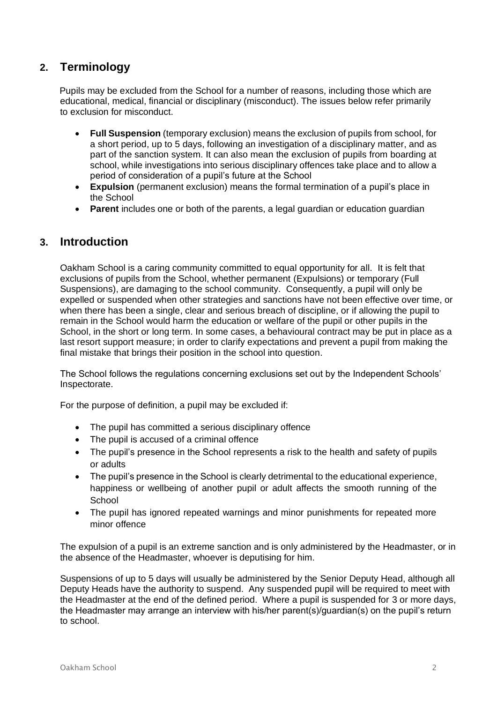# **2. Terminology**

Pupils may be excluded from the School for a number of reasons, including those which are educational, medical, financial or disciplinary (misconduct). The issues below refer primarily to exclusion for misconduct.

- **Full Suspension** (temporary exclusion) means the exclusion of pupils from school, for a short period, up to 5 days, following an investigation of a disciplinary matter, and as part of the sanction system. It can also mean the exclusion of pupils from boarding at school, while investigations into serious disciplinary offences take place and to allow a period of consideration of a pupil's future at the School
- **Expulsion** (permanent exclusion) means the formal termination of a pupil's place in the School
- **Parent** includes one or both of the parents, a legal guardian or education guardian

## **3. Introduction**

Oakham School is a caring community committed to equal opportunity for all. It is felt that exclusions of pupils from the School, whether permanent (Expulsions) or temporary (Full Suspensions), are damaging to the school community. Consequently, a pupil will only be expelled or suspended when other strategies and sanctions have not been effective over time, or when there has been a single, clear and serious breach of discipline, or if allowing the pupil to remain in the School would harm the education or welfare of the pupil or other pupils in the School, in the short or long term. In some cases, a behavioural contract may be put in place as a last resort support measure; in order to clarify expectations and prevent a pupil from making the final mistake that brings their position in the school into question.

The School follows the regulations concerning exclusions set out by the Independent Schools' Inspectorate.

For the purpose of definition, a pupil may be excluded if:

- The pupil has committed a serious disciplinary offence
- The pupil is accused of a criminal offence
- The pupil's presence in the School represents a risk to the health and safety of pupils or adults
- The pupil's presence in the School is clearly detrimental to the educational experience, happiness or wellbeing of another pupil or adult affects the smooth running of the **School**
- The pupil has ignored repeated warnings and minor punishments for repeated more minor offence

The expulsion of a pupil is an extreme sanction and is only administered by the Headmaster, or in the absence of the Headmaster, whoever is deputising for him.

Suspensions of up to 5 days will usually be administered by the Senior Deputy Head, although all Deputy Heads have the authority to suspend. Any suspended pupil will be required to meet with the Headmaster at the end of the defined period. Where a pupil is suspended for 3 or more days, the Headmaster may arrange an interview with his/her parent(s)/guardian(s) on the pupil's return to school.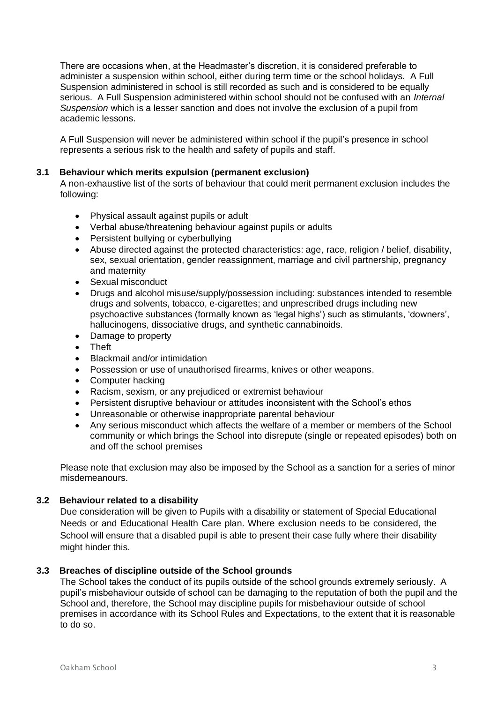There are occasions when, at the Headmaster's discretion, it is considered preferable to administer a suspension within school, either during term time or the school holidays. A Full Suspension administered in school is still recorded as such and is considered to be equally serious. A Full Suspension administered within school should not be confused with an *Internal Suspension* which is a lesser sanction and does not involve the exclusion of a pupil from academic lessons.

A Full Suspension will never be administered within school if the pupil's presence in school represents a serious risk to the health and safety of pupils and staff.

#### **3.1 Behaviour which merits expulsion (permanent exclusion)**

A non-exhaustive list of the sorts of behaviour that could merit permanent exclusion includes the following:

- Physical assault against pupils or adult
- Verbal abuse/threatening behaviour against pupils or adults
- Persistent bullying or cyberbullying
- Abuse directed against the protected characteristics: age, race, religion / belief, disability, sex, sexual orientation, gender reassignment, marriage and civil partnership, pregnancy and maternity
- Sexual misconduct
- Drugs and alcohol misuse/supply/possession including: substances intended to resemble drugs and solvents, tobacco, e-cigarettes; and unprescribed drugs including new psychoactive substances (formally known as 'legal highs') such as stimulants, 'downers', hallucinogens, dissociative drugs, and synthetic cannabinoids.
- Damage to property
- Theft
- Blackmail and/or intimidation
- Possession or use of unauthorised firearms, knives or other weapons.
- Computer hacking
- Racism, sexism, or any prejudiced or extremist behaviour
- Persistent disruptive behaviour or attitudes inconsistent with the School's ethos
- Unreasonable or otherwise inappropriate parental behaviour
- Any serious misconduct which affects the welfare of a member or members of the School community or which brings the School into disrepute (single or repeated episodes) both on and off the school premises

Please note that exclusion may also be imposed by the School as a sanction for a series of minor misdemeanours.

#### **3.2 Behaviour related to a disability**

Due consideration will be given to Pupils with a disability or statement of Special Educational Needs or and Educational Health Care plan. Where exclusion needs to be considered, the School will ensure that a disabled pupil is able to present their case fully where their disability might hinder this.

#### **3.3 Breaches of discipline outside of the School grounds**

The School takes the conduct of its pupils outside of the school grounds extremely seriously. A pupil's misbehaviour outside of school can be damaging to the reputation of both the pupil and the School and, therefore, the School may discipline pupils for misbehaviour outside of school premises in accordance with its School Rules and Expectations, to the extent that it is reasonable to do so.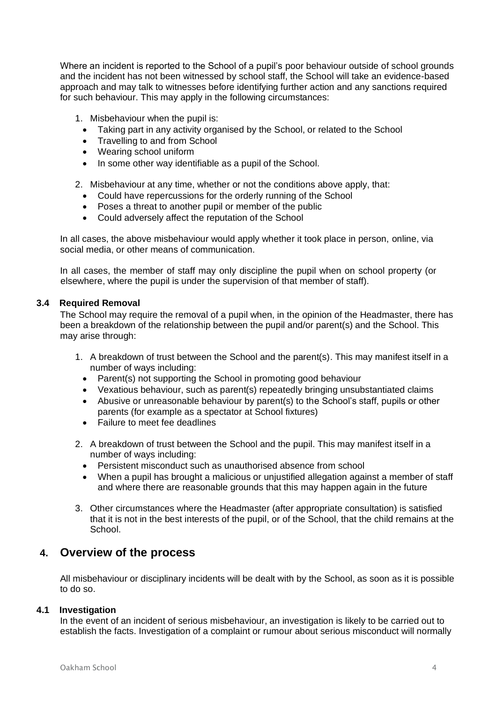Where an incident is reported to the School of a pupil's poor behaviour outside of school grounds and the incident has not been witnessed by school staff, the School will take an evidence-based approach and may talk to witnesses before identifying further action and any sanctions required for such behaviour. This may apply in the following circumstances:

1. Misbehaviour when the pupil is:

- Taking part in any activity organised by the School, or related to the School
- Travelling to and from School
- Wearing school uniform
- In some other way identifiable as a pupil of the School.

2. Misbehaviour at any time, whether or not the conditions above apply, that:

- Could have repercussions for the orderly running of the School
- Poses a threat to another pupil or member of the public
- Could adversely affect the reputation of the School

In all cases, the above misbehaviour would apply whether it took place in person, online, via social media, or other means of communication.

In all cases, the member of staff may only discipline the pupil when on school property (or elsewhere, where the pupil is under the supervision of that member of staff).

#### **3.4 Required Removal**

The School may require the removal of a pupil when, in the opinion of the Headmaster, there has been a breakdown of the relationship between the pupil and/or parent(s) and the School. This may arise through:

- 1. A breakdown of trust between the School and the parent(s). This may manifest itself in a number of ways including:
	- Parent(s) not supporting the School in promoting good behaviour
	- Vexatious behaviour, such as parent(s) repeatedly bringing unsubstantiated claims
	- Abusive or unreasonable behaviour by parent(s) to the School's staff, pupils or other parents (for example as a spectator at School fixtures)
	- Failure to meet fee deadlines
- 2. A breakdown of trust between the School and the pupil. This may manifest itself in a number of ways including:
	- Persistent misconduct such as unauthorised absence from school
	- When a pupil has brought a malicious or unjustified allegation against a member of staff and where there are reasonable grounds that this may happen again in the future
- 3. Other circumstances where the Headmaster (after appropriate consultation) is satisfied that it is not in the best interests of the pupil, or of the School, that the child remains at the School.

## **4. Overview of the process**

All misbehaviour or disciplinary incidents will be dealt with by the School, as soon as it is possible to do so.

#### **4.1 Investigation**

In the event of an incident of serious misbehaviour, an investigation is likely to be carried out to establish the facts. Investigation of a complaint or rumour about serious misconduct will normally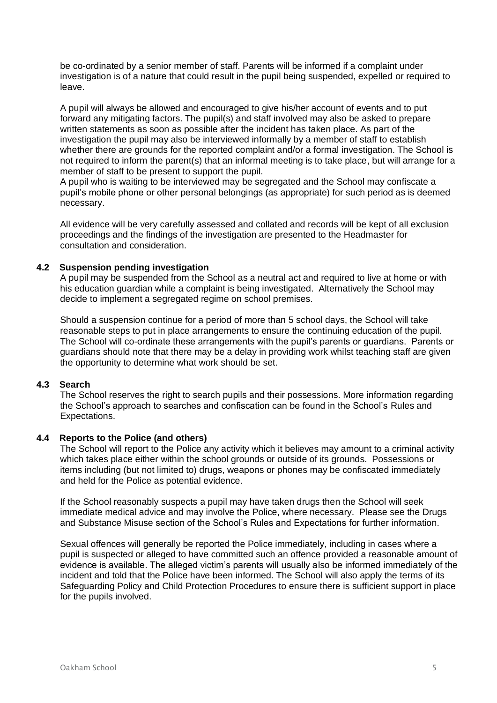be co-ordinated by a senior member of staff. Parents will be informed if a complaint under investigation is of a nature that could result in the pupil being suspended, expelled or required to leave.

A pupil will always be allowed and encouraged to give his/her account of events and to put forward any mitigating factors. The pupil(s) and staff involved may also be asked to prepare written statements as soon as possible after the incident has taken place. As part of the investigation the pupil may also be interviewed informally by a member of staff to establish whether there are grounds for the reported complaint and/or a formal investigation. The School is not required to inform the parent(s) that an informal meeting is to take place, but will arrange for a member of staff to be present to support the pupil.

A pupil who is waiting to be interviewed may be segregated and the School may confiscate a pupil's mobile phone or other personal belongings (as appropriate) for such period as is deemed necessary.

All evidence will be very carefully assessed and collated and records will be kept of all exclusion proceedings and the findings of the investigation are presented to the Headmaster for consultation and consideration.

#### **4.2 Suspension pending investigation**

A pupil may be suspended from the School as a neutral act and required to live at home or with his education guardian while a complaint is being investigated. Alternatively the School may decide to implement a segregated regime on school premises.

Should a suspension continue for a period of more than 5 school days, the School will take reasonable steps to put in place arrangements to ensure the continuing education of the pupil. The School will co-ordinate these arrangements with the pupil's parents or guardians. Parents or guardians should note that there may be a delay in providing work whilst teaching staff are given the opportunity to determine what work should be set.

#### **4.3 Search**

The School reserves the right to search pupils and their possessions. More information regarding the School's approach to searches and confiscation can be found in the School's Rules and Expectations.

#### **4.4 Reports to the Police (and others)**

The School will report to the Police any activity which it believes may amount to a criminal activity which takes place either within the school grounds or outside of its grounds. Possessions or items including (but not limited to) drugs, weapons or phones may be confiscated immediately and held for the Police as potential evidence.

If the School reasonably suspects a pupil may have taken drugs then the School will seek immediate medical advice and may involve the Police, where necessary. Please see the Drugs and Substance Misuse section of the School's Rules and Expectations for further information.

Sexual offences will generally be reported the Police immediately, including in cases where a pupil is suspected or alleged to have committed such an offence provided a reasonable amount of evidence is available. The alleged victim's parents will usually also be informed immediately of the incident and told that the Police have been informed. The School will also apply the terms of its Safeguarding Policy and Child Protection Procedures to ensure there is sufficient support in place for the pupils involved.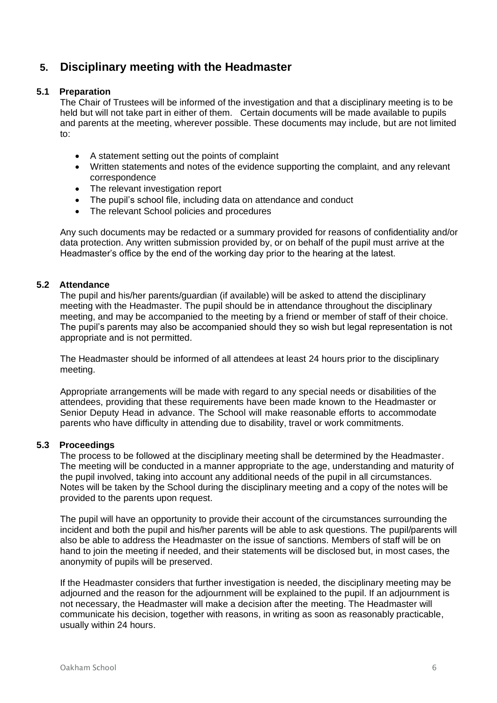# **5. Disciplinary meeting with the Headmaster**

#### **5.1 Preparation**

The Chair of Trustees will be informed of the investigation and that a disciplinary meeting is to be held but will not take part in either of them. Certain documents will be made available to pupils and parents at the meeting, wherever possible. These documents may include, but are not limited to:

- A statement setting out the points of complaint
- Written statements and notes of the evidence supporting the complaint, and any relevant correspondence
- The relevant investigation report
- The pupil's school file, including data on attendance and conduct
- The relevant School policies and procedures

Any such documents may be redacted or a summary provided for reasons of confidentiality and/or data protection. Any written submission provided by, or on behalf of the pupil must arrive at the Headmaster's office by the end of the working day prior to the hearing at the latest.

#### **5.2 Attendance**

The pupil and his/her parents/guardian (if available) will be asked to attend the disciplinary meeting with the Headmaster. The pupil should be in attendance throughout the disciplinary meeting, and may be accompanied to the meeting by a friend or member of staff of their choice. The pupil's parents may also be accompanied should they so wish but legal representation is not appropriate and is not permitted.

The Headmaster should be informed of all attendees at least 24 hours prior to the disciplinary meeting.

Appropriate arrangements will be made with regard to any special needs or disabilities of the attendees, providing that these requirements have been made known to the Headmaster or Senior Deputy Head in advance. The School will make reasonable efforts to accommodate parents who have difficulty in attending due to disability, travel or work commitments.

#### **5.3 Proceedings**

The process to be followed at the disciplinary meeting shall be determined by the Headmaster. The meeting will be conducted in a manner appropriate to the age, understanding and maturity of the pupil involved, taking into account any additional needs of the pupil in all circumstances. Notes will be taken by the School during the disciplinary meeting and a copy of the notes will be provided to the parents upon request.

The pupil will have an opportunity to provide their account of the circumstances surrounding the incident and both the pupil and his/her parents will be able to ask questions. The pupil/parents will also be able to address the Headmaster on the issue of sanctions. Members of staff will be on hand to join the meeting if needed, and their statements will be disclosed but, in most cases, the anonymity of pupils will be preserved.

If the Headmaster considers that further investigation is needed, the disciplinary meeting may be adjourned and the reason for the adjournment will be explained to the pupil. If an adjournment is not necessary, the Headmaster will make a decision after the meeting. The Headmaster will communicate his decision, together with reasons, in writing as soon as reasonably practicable, usually within 24 hours.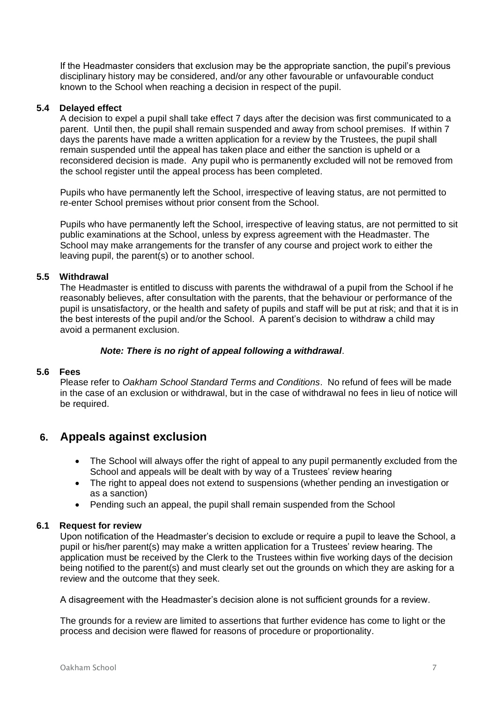If the Headmaster considers that exclusion may be the appropriate sanction, the pupil's previous disciplinary history may be considered, and/or any other favourable or unfavourable conduct known to the School when reaching a decision in respect of the pupil.

#### **5.4 Delayed effect**

A decision to expel a pupil shall take effect 7 days after the decision was first communicated to a parent. Until then, the pupil shall remain suspended and away from school premises. If within 7 days the parents have made a written application for a review by the Trustees, the pupil shall remain suspended until the appeal has taken place and either the sanction is upheld or a reconsidered decision is made. Any pupil who is permanently excluded will not be removed from the school register until the appeal process has been completed.

Pupils who have permanently left the School, irrespective of leaving status, are not permitted to re-enter School premises without prior consent from the School.

Pupils who have permanently left the School, irrespective of leaving status, are not permitted to sit public examinations at the School, unless by express agreement with the Headmaster. The School may make arrangements for the transfer of any course and project work to either the leaving pupil, the parent(s) or to another school.

#### **5.5 Withdrawal**

The Headmaster is entitled to discuss with parents the withdrawal of a pupil from the School if he reasonably believes, after consultation with the parents, that the behaviour or performance of the pupil is unsatisfactory, or the health and safety of pupils and staff will be put at risk; and that it is in the best interests of the pupil and/or the School. A parent's decision to withdraw a child may avoid a permanent exclusion.

#### *Note: There is no right of appeal following a withdrawal*.

#### **5.6 Fees**

Please refer to *Oakham School Standard Terms and Conditions*. No refund of fees will be made in the case of an exclusion or withdrawal, but in the case of withdrawal no fees in lieu of notice will be required.

## **6. Appeals against exclusion**

- The School will always offer the right of appeal to any pupil permanently excluded from the School and appeals will be dealt with by way of a Trustees' review hearing
- The right to appeal does not extend to suspensions (whether pending an investigation or as a sanction)
- Pending such an appeal, the pupil shall remain suspended from the School

#### **6.1 Request for review**

Upon notification of the Headmaster's decision to exclude or require a pupil to leave the School, a pupil or his/her parent(s) may make a written application for a Trustees' review hearing. The application must be received by the Clerk to the Trustees within five working days of the decision being notified to the parent(s) and must clearly set out the grounds on which they are asking for a review and the outcome that they seek.

A disagreement with the Headmaster's decision alone is not sufficient grounds for a review.

The grounds for a review are limited to assertions that further evidence has come to light or the process and decision were flawed for reasons of procedure or proportionality.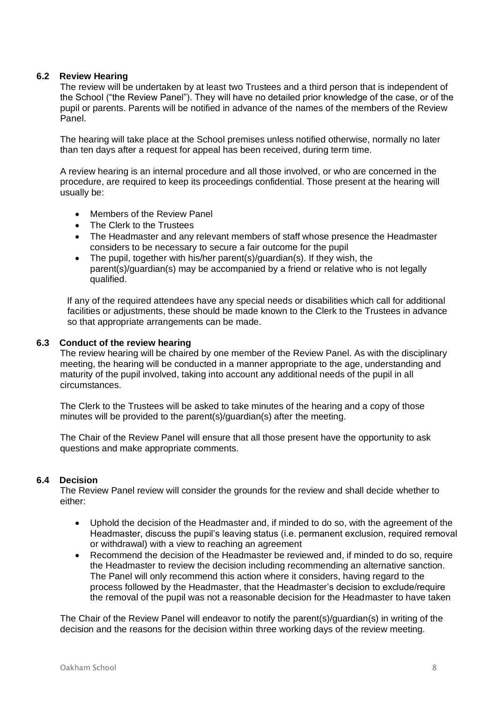#### **6.2 Review Hearing**

The review will be undertaken by at least two Trustees and a third person that is independent of the School ("the Review Panel"). They will have no detailed prior knowledge of the case, or of the pupil or parents. Parents will be notified in advance of the names of the members of the Review Panel.

The hearing will take place at the School premises unless notified otherwise, normally no later than ten days after a request for appeal has been received, during term time.

A review hearing is an internal procedure and all those involved, or who are concerned in the procedure, are required to keep its proceedings confidential. Those present at the hearing will usually be:

- Members of the Review Panel
- The Clerk to the Trustees
- The Headmaster and any relevant members of staff whose presence the Headmaster considers to be necessary to secure a fair outcome for the pupil
- The pupil, together with his/her parent(s)/guardian(s). If they wish, the parent(s)/guardian(s) may be accompanied by a friend or relative who is not legally qualified.

If any of the required attendees have any special needs or disabilities which call for additional facilities or adjustments, these should be made known to the Clerk to the Trustees in advance so that appropriate arrangements can be made.

#### **6.3 Conduct of the review hearing**

The review hearing will be chaired by one member of the Review Panel. As with the disciplinary meeting, the hearing will be conducted in a manner appropriate to the age, understanding and maturity of the pupil involved, taking into account any additional needs of the pupil in all circumstances.

The Clerk to the Trustees will be asked to take minutes of the hearing and a copy of those minutes will be provided to the parent(s)/guardian(s) after the meeting.

The Chair of the Review Panel will ensure that all those present have the opportunity to ask questions and make appropriate comments.

#### **6.4 Decision**

The Review Panel review will consider the grounds for the review and shall decide whether to either:

- Uphold the decision of the Headmaster and, if minded to do so, with the agreement of the Headmaster, discuss the pupil's leaving status (i.e. permanent exclusion, required removal or withdrawal) with a view to reaching an agreement
- Recommend the decision of the Headmaster be reviewed and, if minded to do so, require the Headmaster to review the decision including recommending an alternative sanction. The Panel will only recommend this action where it considers, having regard to the process followed by the Headmaster, that the Headmaster's decision to exclude/require the removal of the pupil was not a reasonable decision for the Headmaster to have taken

The Chair of the Review Panel will endeavor to notify the parent(s)/guardian(s) in writing of the decision and the reasons for the decision within three working days of the review meeting.